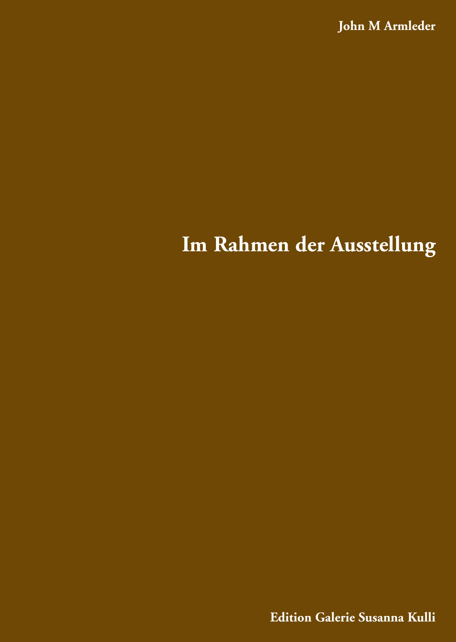**John M Armleder**

# **Im Rahmen der Ausstellung**

**Edition Galerie Susanna Kulli**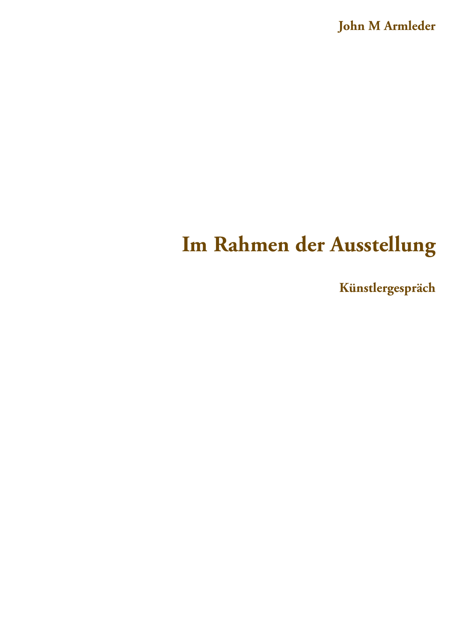**John M Armleder**

# **Im Rahmen der Ausstellung**

**Künstlergespräch**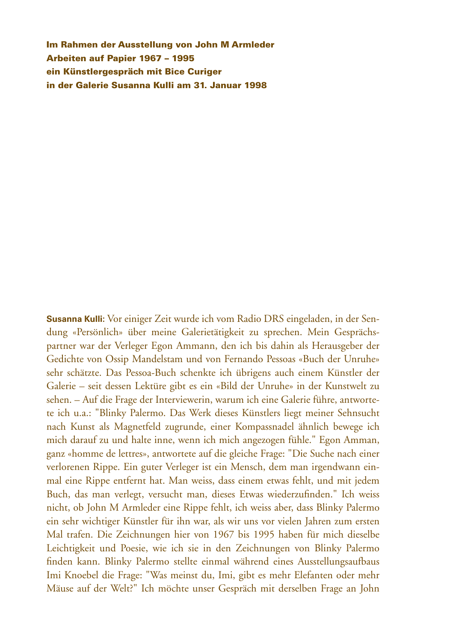Im Rahmen der Ausstellung von John M Armleder Arbeiten auf Papier 1967 – 1995 ein Künstlergespräch mit Bice Curiger in der Galerie Susanna Kulli am 31. Januar 1998

**Susanna Kulli:** Vor einiger Zeit wurde ich vom Radio DRS eingeladen, in der Sendung «Persönlich» über meine Galerietätigkeit zu sprechen. Mein Gesprächspartner war der Verleger Egon Ammann, den ich bis dahin als Herausgeber der Gedichte von Ossip Mandelstam und von Fernando Pessoas «Buch der Unruhe» sehr schätzte. Das Pessoa-Buch schenkte ich übrigens auch einem Künstler der Galerie – seit dessen Lektüre gibt es ein «Bild der Unruhe» in der Kunstwelt zu sehen. – Auf die Frage der Interviewerin, warum ich eine Galerie führe, antwortete ich u.a.: "Blinky Palermo. Das Werk dieses Künstlers liegt meiner Sehnsucht nach Kunst als Magnetfeld zugrunde, einer Kompassnadel ähnlich bewege ich mich darauf zu und halte inne, wenn ich mich angezogen fühle." Egon Amman, ganz «homme de lettres», antwortete auf die gleiche Frage: "Die Suche nach einer verlorenen Rippe. Ein guter Verleger ist ein Mensch, dem man irgendwann einmal eine Rippe entfernt hat. Man weiss, dass einem etwas fehlt, und mit jedem Buch, das man verlegt, versucht man, dieses Etwas wiederzufinden." Ich weiss nicht, ob John M Armleder eine Rippe fehlt, ich weiss aber, dass Blinky Palermo ein sehr wichtiger Künstler für ihn war, als wir uns vor vielen Jahren zum ersten Mal trafen. Die Zeichnungen hier von 1967 bis 1995 haben für mich dieselbe Leichtigkeit und Poesie, wie ich sie in den Zeichnungen von Blinky Palermo finden kann. Blinky Palermo stellte einmal während eines Ausstellungsaufbaus Imi Knoebel die Frage: "Was meinst du, Imi, gibt es mehr Elefanten oder mehr Mäuse auf der Welt?" Ich möchte unser Gespräch mit derselben Frage an John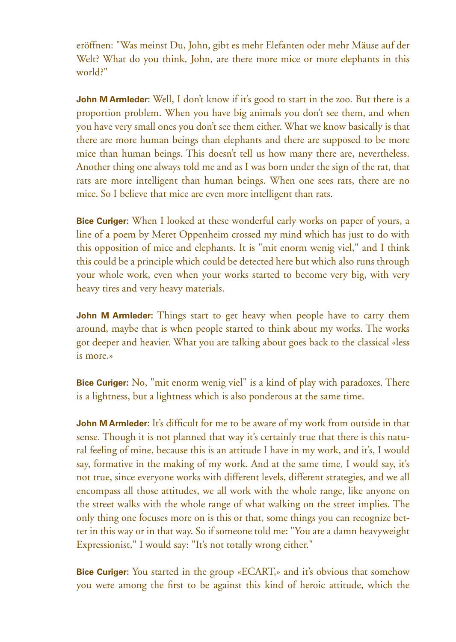eröffnen: "Was meinst Du, John, gibt es mehr Elefanten oder mehr Mäuse auf der Welt? What do you think, John, are there more mice or more elephants in this world?"

**John M Armleder:** Well, I don't know if it's good to start in the zoo. But there is a proportion problem. When you have big animals you don't see them, and when you have very small ones you don't see them either. What we know basically is that there are more human beings than elephants and there are supposed to be more mice than human beings. This doesn't tell us how many there are, nevertheless. Another thing one always told me and as I was born under the sign of the rat, that rats are more intelligent than human beings. When one sees rats, there are no mice. So I believe that mice are even more intelligent than rats.

**Bice Curiger:** When I looked at these wonderful early works on paper of yours, a line of a poem by Meret Oppenheim crossed my mind which has just to do with this opposition of mice and elephants. It is "mit enorm wenig viel," and I think this could be a principle which could be detected here but which also runs through your whole work, even when your works started to become very big, with very heavy tires and very heavy materials.

**John M Armleder:** Things start to get heavy when people have to carry them around, maybe that is when people started to think about my works. The works got deeper and heavier. What you are talking about goes back to the classical «less is more.»

**Bice Curiger:** No, "mit enorm wenig viel" is a kind of play with paradoxes. There is a lightness, but a lightness which is also ponderous at the same time.

**John M Armleder:** It's difficult for me to be aware of my work from outside in that sense. Though it is not planned that way it's certainly true that there is this natural feeling of mine, because this is an attitude I have in my work, and it's, I would say, formative in the making of my work. And at the same time, I would say, it's not true, since everyone works with different levels, different strategies, and we all encompass all those attitudes, we all work with the whole range, like anyone on the street walks with the whole range of what walking on the street implies. The only thing one focuses more on is this or that, some things you can recognize better in this way or in that way. So if someone told me: "You are a damn heavyweight Expressionist," I would say: "It's not totally wrong either."

**Bice Curiger:** You started in the group «ECART,» and it's obvious that somehow you were among the first to be against this kind of heroic attitude, which the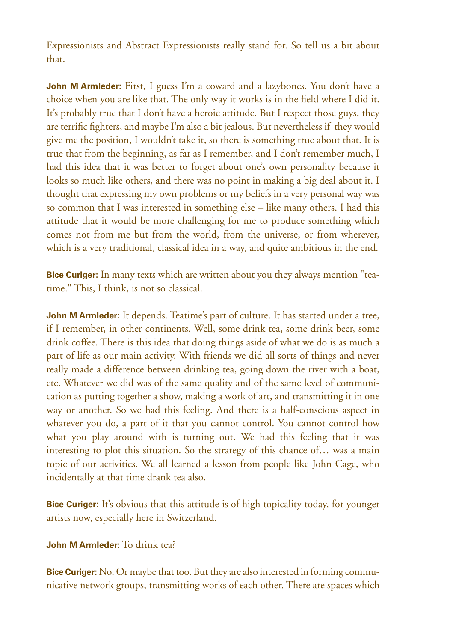Expressionists and Abstract Expressionists really stand for. So tell us a bit about that.

**John M Armleder:** First, I guess I'm a coward and a lazybones. You don't have a choice when you are like that. The only way it works is in the field where I did it. It's probably true that I don't have a heroic attitude. But I respect those guys, they are terrific fighters, and maybe I'm also a bit jealous. But nevertheless if they would give me the position, I wouldn't take it, so there is something true about that. It is true that from the beginning, as far as I remember, and I don't remember much, I had this idea that it was better to forget about one's own personality because it looks so much like others, and there was no point in making a big deal about it. I thought that expressing my own problems or my beliefs in a very personal way was so common that I was interested in something else – like many others. I had this attitude that it would be more challenging for me to produce something which comes not from me but from the world, from the universe, or from wherever, which is a very traditional, classical idea in a way, and quite ambitious in the end.

**Bice Curiger:** In many texts which are written about you they always mention "teatime." This, I think, is not so classical.

**John M Armleder:** It depends. Teatime's part of culture. It has started under a tree, if I remember, in other continents. Well, some drink tea, some drink beer, some drink coffee. There is this idea that doing things aside of what we do is as much a part of life as our main activity. With friends we did all sorts of things and never really made a difference between drinking tea, going down the river with a boat, etc. Whatever we did was of the same quality and of the same level of communication as putting together a show, making a work of art, and transmitting it in one way or another. So we had this feeling. And there is a half-conscious aspect in whatever you do, a part of it that you cannot control. You cannot control how what you play around with is turning out. We had this feeling that it was interesting to plot this situation. So the strategy of this chance of… was a main topic of our activities. We all learned a lesson from people like John Cage, who incidentally at that time drank tea also.

**Bice Curiger:** It's obvious that this attitude is of high topicality today, for younger artists now, especially here in Switzerland.

### **John M Armleder:** To drink tea?

**Bice Curiger:** No. Or maybe that too. But they are also interested in forming communicative network groups, transmitting works of each other. There are spaces which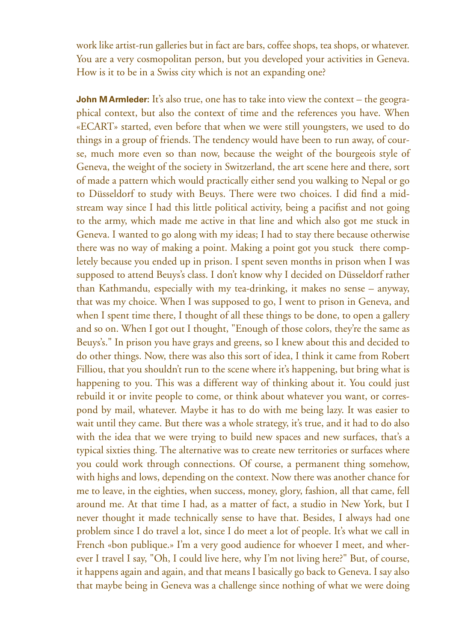work like artist-run galleries but in fact are bars, coffee shops, tea shops, or whatever. You are a very cosmopolitan person, but you developed your activities in Geneva. How is it to be in a Swiss city which is not an expanding one?

**John M Armleder:** It's also true, one has to take into view the context – the geographical context, but also the context of time and the references you have. When «ECART» started, even before that when we were still youngsters, we used to do things in a group of friends. The tendency would have been to run away, of course, much more even so than now, because the weight of the bourgeois style of Geneva, the weight of the society in Switzerland, the art scene here and there, sort of made a pattern which would practically either send you walking to Nepal or go to Düsseldorf to study with Beuys. There were two choices. I did find a midstream way since I had this little political activity, being a pacifist and not going to the army, which made me active in that line and which also got me stuck in Geneva. I wanted to go along with my ideas; I had to stay there because otherwise there was no way of making a point. Making a point got you stuck there completely because you ended up in prison. I spent seven months in prison when I was supposed to attend Beuys's class. I don't know why I decided on Düsseldorf rather than Kathmandu, especially with my tea-drinking, it makes no sense – anyway, that was my choice. When I was supposed to go, I went to prison in Geneva, and when I spent time there, I thought of all these things to be done, to open a gallery and so on. When I got out I thought, "Enough of those colors, they're the same as Beuys's." In prison you have grays and greens, so I knew about this and decided to do other things. Now, there was also this sort of idea, I think it came from Robert Filliou, that you shouldn't run to the scene where it's happening, but bring what is happening to you. This was a different way of thinking about it. You could just rebuild it or invite people to come, or think about whatever you want, or correspond by mail, whatever. Maybe it has to do with me being lazy. It was easier to wait until they came. But there was a whole strategy, it's true, and it had to do also with the idea that we were trying to build new spaces and new surfaces, that's a typical sixties thing. The alternative was to create new territories or surfaces where you could work through connections. Of course, a permanent thing somehow, with highs and lows, depending on the context. Now there was another chance for me to leave, in the eighties, when success, money, glory, fashion, all that came, fell around me. At that time I had, as a matter of fact, a studio in New York, but I never thought it made technically sense to have that. Besides, I always had one problem since I do travel a lot, since I do meet a lot of people. It's what we call in French «bon publique.» I'm a very good audience for whoever I meet, and wherever I travel I say, "Oh, I could live here, why I'm not living here?" But, of course, it happens again and again, and that means I basically go back to Geneva. I say also that maybe being in Geneva was a challenge since nothing of what we were doing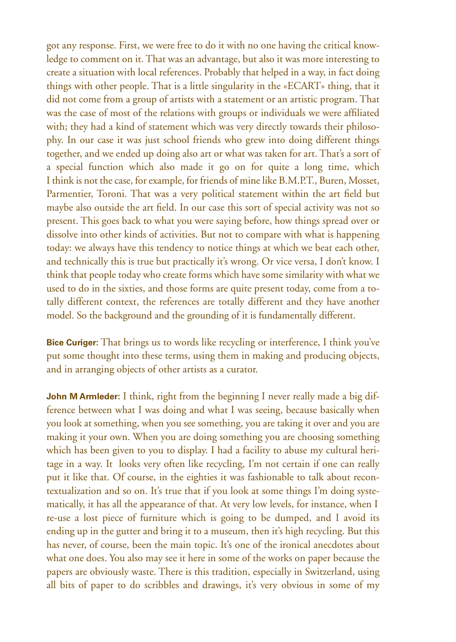got any response. First, we were free to do it with no one having the critical knowledge to comment on it. That was an advantage, but also it was more interesting to create a situation with local references. Probably that helped in a way, in fact doing things with other people. That is a little singularity in the «ECART» thing, that it did not come from a group of artists with a statement or an artistic program. That was the case of most of the relations with groups or individuals we were affiliated with; they had a kind of statement which was very directly towards their philosophy. In our case it was just school friends who grew into doing different things together, and we ended up doing also art or what was taken for art. That's a sort of a special function which also made it go on for quite a long time, which I think is not the case, for example, for friends of mine like B.M.P.T., Buren, Mosset, Parmentier, Toroni. That was a very political statement within the art field but maybe also outside the art field. In our case this sort of special activity was not so present. This goes back to what you were saying before, how things spread over or dissolve into other kinds of activities. But not to compare with what is happening today: we always have this tendency to notice things at which we beat each other, and technically this is true but practically it's wrong. Or vice versa, I don't know. I think that people today who create forms which have some similarity with what we used to do in the sixties, and those forms are quite present today, come from a totally different context, the references are totally different and they have another model. So the background and the grounding of it is fundamentally different.

**Bice Curiger:** That brings us to words like recycling or interference, I think you've put some thought into these terms, using them in making and producing objects, and in arranging objects of other artists as a curator.

**John M Armleder:** I think, right from the beginning I never really made a big difference between what I was doing and what I was seeing, because basically when you look at something, when you see something, you are taking it over and you are making it your own. When you are doing something you are choosing something which has been given to you to display. I had a facility to abuse my cultural heritage in a way. It looks very often like recycling, I'm not certain if one can really put it like that. Of course, in the eighties it was fashionable to talk about recontextualization and so on. It's true that if you look at some things I'm doing systematically, it has all the appearance of that. At very low levels, for instance, when I re-use a lost piece of furniture which is going to be dumped, and I avoid its ending up in the gutter and bring it to a museum, then it's high recycling. But this has never, of course, been the main topic. It's one of the ironical anecdotes about what one does. You also may see it here in some of the works on paper because the papers are obviously waste. There is this tradition, especially in Switzerland, using all bits of paper to do scribbles and drawings, it's very obvious in some of my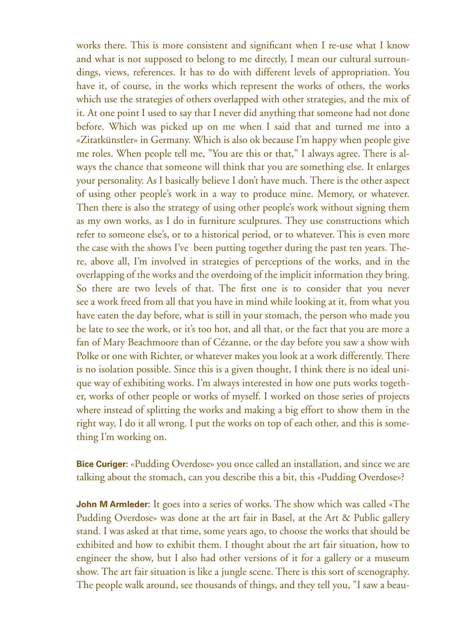works there. This is more consistent and significant when I re-use what I know and what is not supposed to belong to me directly, I mean our cultural surroundings, views, references. It has to do with different levels of appropriation. You have it, of course, in the works which represent the works of others, the works which use the strategies of others overlapped with other strategies, and the mix of it. At one point I used to say that I never did anything that someone had not done before. Which was picked up on me when I said that and turned me into a «Zitatkünstler» in Germany. Which is also ok because I'm happy when people give me roles. When people tell me, "You are this or that," I always agree. There is always the chance that someone will think that you are something else. It enlarges your personality. As I basically believe I don't have much. There is the other aspect of using other people's work in a way to produce mine. Memory, or whatever. Then there is also the strategy of using other people's work without signing them as my own works, as I do in furniture sculptures. They use constructions which refer to someone else's, or to a historical period, or to whatever. This is even more the case with the shows I've been putting together during the past ten years. There, above all, I'm involved in strategies of perceptions of the works, and in the overlapping of the works and the overdoing of the implicit information they bring. So there are two levels of that. The first one is to consider that you never see a work freed from all that you have in mind while looking at it, from what you have eaten the day before, what is still in your stomach, the person who made you be late to see the work, or it's too hot, and all that, or the fact that you are more a fan of Mary Beachmoore than of Cézanne, or the day before you saw a show with Polke or one with Richter, or whatever makes you look at a work differently. There is no isolation possible. Since this is a given thought, I think there is no ideal unique way of exhibiting works. I'm always interested in how one puts works together, works of other people or works of myself. I worked on those series of projects where instead of splitting the works and making a big effort to show them in the right way, I do it all wrong. I put the works on top of each other, and this is something I'm working on.

**Bice Curiger:** «Pudding Overdose» you once called an installation, and since we are talking about the stomach, can you describe this a bit, this «Pudding Overdose»?

**John M Armleder:** It goes into a series of works. The show which was called «The Pudding Overdose» was done at the art fair in Basel, at the Art & Public gallery stand. I was asked at that time, some years ago, to choose the works that should be exhibited and how to exhibit them. I thought about the art fair situation, how to engineer the show, but I also had other versions of it for a gallery or a museum show. The art fair situation is like a jungle scene. There is this sort of scenography. The people walk around, see thousands of things, and they tell you, "I saw a beau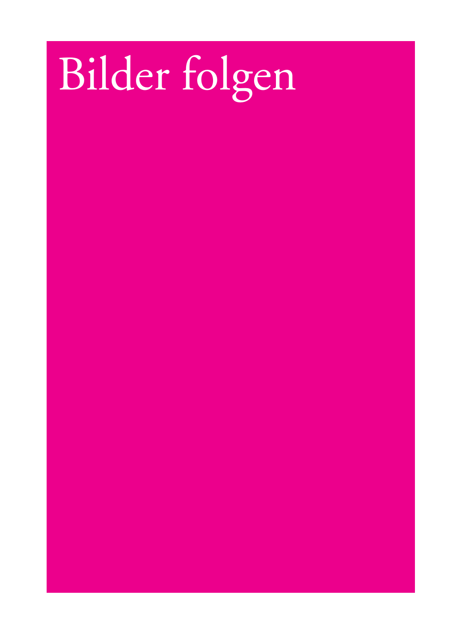# Bilder folgen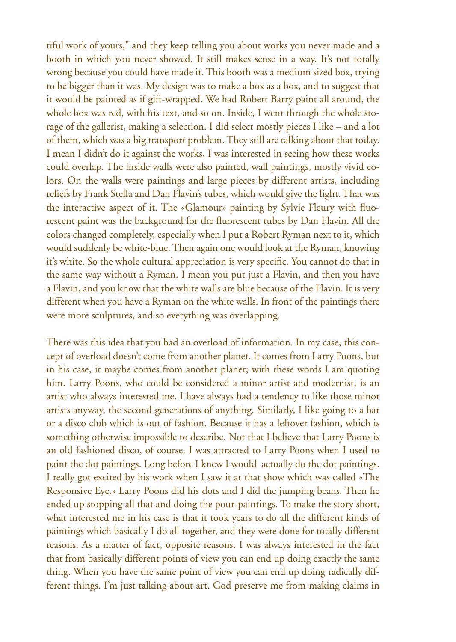tiful work of yours," and they keep telling you about works you never made and a booth in which you never showed. It still makes sense in a way. It's not totally wrong because you could have made it. This booth was a medium sized box, trying to be bigger than it was. My design was to make a box as a box, and to suggest that it would be painted as if gift-wrapped. We had Robert Barry paint all around, the whole box was red, with his text, and so on. Inside, I went through the whole storage of the gallerist, making a selection. I did select mostly pieces I like – and a lot of them, which was a big transport problem. They still are talking about that today. I mean I didn't do it against the works, I was interested in seeing how these works could overlap. The inside walls were also painted, wall paintings, mostly vivid colors. On the walls were paintings and large pieces by different artists, including reliefs by Frank Stella and Dan Flavin's tubes, which would give the light. That was the interactive aspect of it. The «Glamour» painting by Sylvie Fleury with fluorescent paint was the background for the fluorescent tubes by Dan Flavin. All the colors changed completely, especially when I put a Robert Ryman next to it, which would suddenly be white-blue. Then again one would look at the Ryman, knowing it's white. So the whole cultural appreciation is very specific. You cannot do that in the same way without a Ryman. I mean you put just a Flavin, and then you have a Flavin, and you know that the white walls are blue because of the Flavin. It is very different when you have a Ryman on the white walls. In front of the paintings there were more sculptures, and so everything was overlapping.

There was this idea that you had an overload of information. In my case, this concept of overload doesn't come from another planet. It comes from Larry Poons, but in his case, it maybe comes from another planet; with these words I am quoting him. Larry Poons, who could be considered a minor artist and modernist, is an artist who always interested me. I have always had a tendency to like those minor artists anyway, the second generations of anything. Similarly, I like going to a bar or a disco club which is out of fashion. Because it has a leftover fashion, which is something otherwise impossible to describe. Not that I believe that Larry Poons is an old fashioned disco, of course. I was attracted to Larry Poons when I used to paint the dot paintings. Long before I knew I would actually do the dot paintings. I really got excited by his work when I saw it at that show which was called «The Responsive Eye.» Larry Poons did his dots and I did the jumping beans. Then he ended up stopping all that and doing the pour-paintings. To make the story short, what interested me in his case is that it took years to do all the different kinds of paintings which basically I do all together, and they were done for totally different reasons. As a matter of fact, opposite reasons. I was always interested in the fact that from basically different points of view you can end up doing exactly the same thing. When you have the same point of view you can end up doing radically different things. I'm just talking about art. God preserve me from making claims in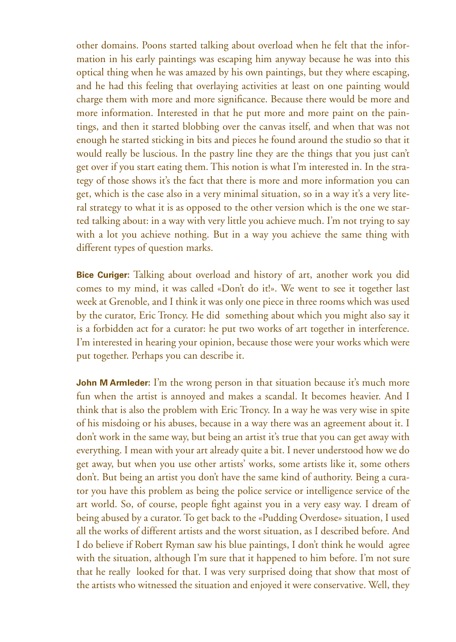other domains. Poons started talking about overload when he felt that the information in his early paintings was escaping him anyway because he was into this optical thing when he was amazed by his own paintings, but they where escaping, and he had this feeling that overlaying activities at least on one painting would charge them with more and more significance. Because there would be more and more information. Interested in that he put more and more paint on the paintings, and then it started blobbing over the canvas itself, and when that was not enough he started sticking in bits and pieces he found around the studio so that it would really be luscious. In the pastry line they are the things that you just can't get over if you start eating them. This notion is what I'm interested in. In the strategy of those shows it's the fact that there is more and more information you can get, which is the case also in a very minimal situation, so in a way it's a very literal strategy to what it is as opposed to the other version which is the one we started talking about: in a way with very little you achieve much. I'm not trying to say with a lot you achieve nothing. But in a way you achieve the same thing with different types of question marks.

**Bice Curiger:** Talking about overload and history of art, another work you did comes to my mind, it was called «Don't do it!». We went to see it together last week at Grenoble, and I think it was only one piece in three rooms which was used by the curator, Eric Troncy. He did something about which you might also say it is a forbidden act for a curator: he put two works of art together in interference. I'm interested in hearing your opinion, because those were your works which were put together. Perhaps you can describe it.

**John M Armleder:** I'm the wrong person in that situation because it's much more fun when the artist is annoyed and makes a scandal. It becomes heavier. And I think that is also the problem with Eric Troncy. In a way he was very wise in spite of his misdoing or his abuses, because in a way there was an agreement about it. I don't work in the same way, but being an artist it's true that you can get away with everything. I mean with your art already quite a bit. I never understood how we do get away, but when you use other artists' works, some artists like it, some others don't. But being an artist you don't have the same kind of authority. Being a curator you have this problem as being the police service or intelligence service of the art world. So, of course, people fight against you in a very easy way. I dream of being abused by a curator. To get back to the «Pudding Overdose» situation, I used all the works of different artists and the worst situation, as I described before. And I do believe if Robert Ryman saw his blue paintings, I don't think he would agree with the situation, although I'm sure that it happened to him before. I'm not sure that he really looked for that. I was very surprised doing that show that most of the artists who witnessed the situation and enjoyed it were conservative. Well, they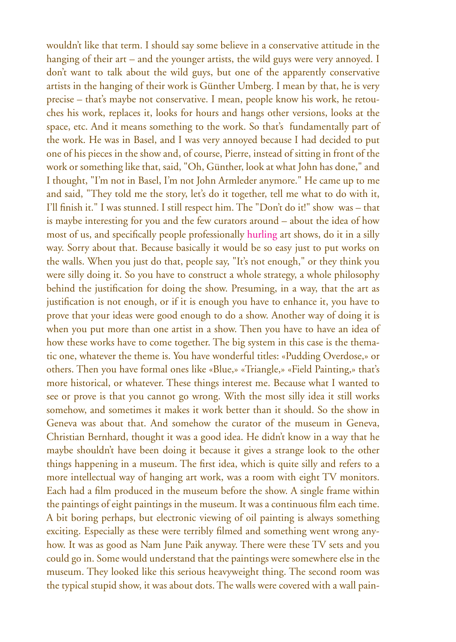wouldn't like that term. I should say some believe in a conservative attitude in the hanging of their art – and the younger artists, the wild guys were very annoyed. I don't want to talk about the wild guys, but one of the apparently conservative artists in the hanging of their work is Günther Umberg. I mean by that, he is very precise – that's maybe not conservative. I mean, people know his work, he retouches his work, replaces it, looks for hours and hangs other versions, looks at the space, etc. And it means something to the work. So that's fundamentally part of the work. He was in Basel, and I was very annoyed because I had decided to put one of his pieces in the show and, of course, Pierre, instead of sitting in front of the work or something like that, said, "Oh, Günther, look at what John has done," and I thought, "I'm not in Basel, I'm not John Armleder anymore." He came up to me and said, "They told me the story, let's do it together, tell me what to do with it, I'll finish it." I was stunned. I still respect him. The "Don't do it!" show was – that is maybe interesting for you and the few curators around – about the idea of how most of us, and specifically people professionally hurling art shows, do it in a silly way. Sorry about that. Because basically it would be so easy just to put works on the walls. When you just do that, people say, "It's not enough," or they think you were silly doing it. So you have to construct a whole strategy, a whole philosophy behind the justification for doing the show. Presuming, in a way, that the art as justification is not enough, or if it is enough you have to enhance it, you have to prove that your ideas were good enough to do a show. Another way of doing it is when you put more than one artist in a show. Then you have to have an idea of how these works have to come together. The big system in this case is the thematic one, whatever the theme is. You have wonderful titles: «Pudding Overdose,» or others. Then you have formal ones like «Blue,» «Triangle,» «Field Painting,» that's more historical, or whatever. These things interest me. Because what I wanted to see or prove is that you cannot go wrong. With the most silly idea it still works somehow, and sometimes it makes it work better than it should. So the show in Geneva was about that. And somehow the curator of the museum in Geneva, Christian Bernhard, thought it was a good idea. He didn't know in a way that he maybe shouldn't have been doing it because it gives a strange look to the other things happening in a museum. The first idea, which is quite silly and refers to a more intellectual way of hanging art work, was a room with eight TV monitors. Each had a film produced in the museum before the show. A single frame within the paintings of eight paintings in the museum. It was a continuous film each time. A bit boring perhaps, but electronic viewing of oil painting is always something exciting. Especially as these were terribly filmed and something went wrong anyhow. It was as good as Nam June Paik anyway. There were these TV sets and you could go in. Some would understand that the paintings were somewhere else in the museum. They looked like this serious heavyweight thing. The second room was the typical stupid show, it was about dots. The walls were covered with a wall pain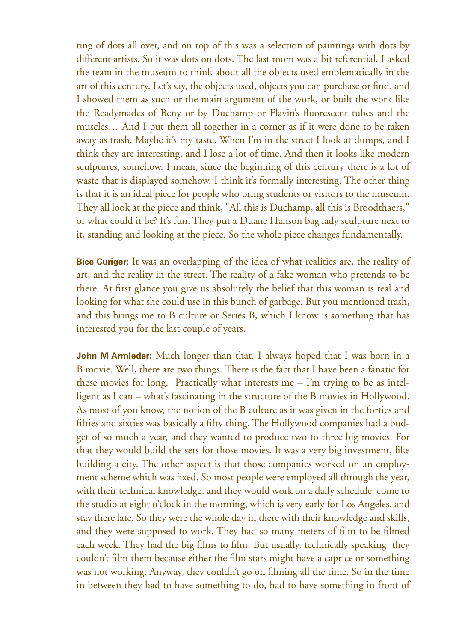ting of dots all over, and on top of this was a selection of paintings with dots by different artists. So it was dots on dots. The last room was a bit referential. I asked the team in the museum to think about all the objects used emblematically in the art of this century. Let's say, the objects used, objects you can purchase or find, and I showed them as such or the main argument of the work, or built the work like the Readymades of Beny or by Duchamp or Flavin's fluorescent tubes and the muscles… And I put them all together in a corner as if it were done to be taken away as trash. Maybe it's my taste. When I'm in the street I look at dumps, and I think they are interesting, and I lose a lot of time. And then it looks like modern sculptures, somehow. I mean, since the beginning of this century there is a lot of waste that is displayed somehow. I think it's formally interesting. The other thing is that it is an ideal piece for people who bring students or visitors to the museum. They all look at the piece and think, "All this is Duchamp, all this is Broodthaers," or what could it be? It's fun. They put a Duane Hanson bag lady sculpture next to it, standing and looking at the piece. So the whole piece changes fundamentally.

**Bice Curiger:** It was an overlapping of the idea of what realities are, the reality of art, and the reality in the street. The reality of a fake woman who pretends to be there. At first glance you give us absolutely the belief that this woman is real and looking for what she could use in this bunch of garbage. But you mentioned trash, and this brings me to B culture or Series B, which I know is something that has interested you for the last couple of years.

**John M Armleder:** Much longer than that. I always hoped that I was born in a B movie. Well, there are two things. There is the fact that I have been a fanatic for these movies for long. Practically what interests me – I'm trying to be as intelligent as I can – what's fascinating in the structure of the B movies in Hollywood. As most of you know, the notion of the B culture as it was given in the forties and fifties and sixties was basically a fifty thing. The Hollywood companies had a budget of so much a year, and they wanted to produce two to three big movies. For that they would build the sets for those movies. It was a very big investment, like building a city. The other aspect is that those companies worked on an employment scheme which was fixed. So most people were employed all through the year, with their technical knowledge, and they would work on a daily schedule: come to the studio at eight o'clock in the morning, which is very early for Los Angeles, and stay there late. So they were the whole day in there with their knowledge and skills, and they were supposed to work. They had so many meters of film to be filmed each week. They had the big films to film. But usually, technically speaking, they couldn't film them because either the film stars might have a caprice or something was not working. Anyway, they couldn't go on filming all the time. So in the time in between they had to have something to do, had to have something in front of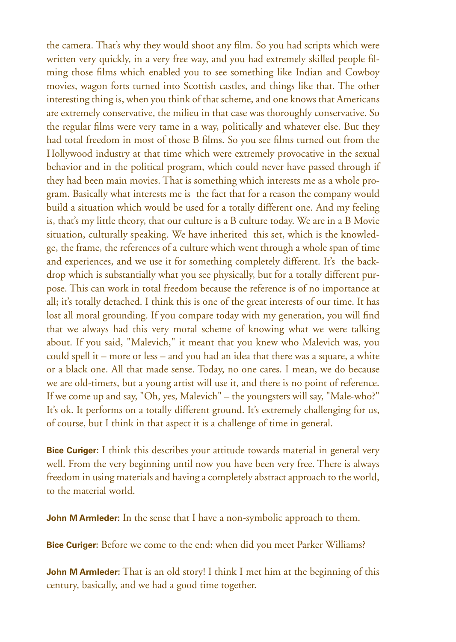the camera. That's why they would shoot any film. So you had scripts which were written very quickly, in a very free way, and you had extremely skilled people filming those films which enabled you to see something like Indian and Cowboy movies, wagon forts turned into Scottish castles, and things like that. The other interesting thing is, when you think of that scheme, and one knows that Americans are extremely conservative, the milieu in that case was thoroughly conservative. So the regular films were very tame in a way, politically and whatever else. But they had total freedom in most of those B films. So you see films turned out from the Hollywood industry at that time which were extremely provocative in the sexual behavior and in the political program, which could never have passed through if they had been main movies. That is something which interests me as a whole program. Basically what interests me is the fact that for a reason the company would build a situation which would be used for a totally different one. And my feeling is, that's my little theory, that our culture is a B culture today. We are in a B Movie situation, culturally speaking. We have inherited this set, which is the knowledge, the frame, the references of a culture which went through a whole span of time and experiences, and we use it for something completely different. It's the backdrop which is substantially what you see physically, but for a totally different purpose. This can work in total freedom because the reference is of no importance at all; it's totally detached. I think this is one of the great interests of our time. It has lost all moral grounding. If you compare today with my generation, you will find that we always had this very moral scheme of knowing what we were talking about. If you said, "Malevich," it meant that you knew who Malevich was, you could spell it – more or less – and you had an idea that there was a square, a white or a black one. All that made sense. Today, no one cares. I mean, we do because we are old-timers, but a young artist will use it, and there is no point of reference. If we come up and say, "Oh, yes, Malevich" – the youngsters will say, "Male-who?" It's ok. It performs on a totally different ground. It's extremely challenging for us, of course, but I think in that aspect it is a challenge of time in general.

**Bice Curiger:** I think this describes your attitude towards material in general very well. From the very beginning until now you have been very free. There is always freedom in using materials and having a completely abstract approach to the world, to the material world.

**John M Armleder:** In the sense that I have a non-symbolic approach to them.

**Bice Curiger:** Before we come to the end: when did you meet Parker Williams?

**John M Armleder:** That is an old story! I think I met him at the beginning of this century, basically, and we had a good time together.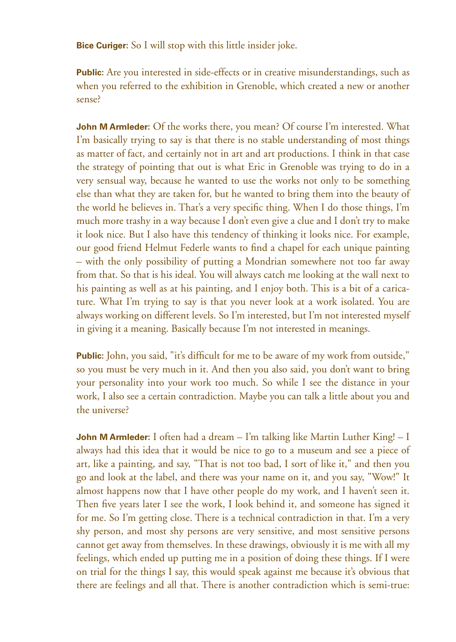**Bice Curiger:** So I will stop with this little insider joke.

**Public:** Are you interested in side-effects or in creative misunderstandings, such as when you referred to the exhibition in Grenoble, which created a new or another sense?

**John M Armleder:** Of the works there, you mean? Of course I'm interested. What I'm basically trying to say is that there is no stable understanding of most things as matter of fact, and certainly not in art and art productions. I think in that case the strategy of pointing that out is what Eric in Grenoble was trying to do in a very sensual way, because he wanted to use the works not only to be something else than what they are taken for, but he wanted to bring them into the beauty of the world he believes in. That's a very specific thing. When I do those things, I'm much more trashy in a way because I don't even give a clue and I don't try to make it look nice. But I also have this tendency of thinking it looks nice. For example, our good friend Helmut Federle wants to find a chapel for each unique painting – with the only possibility of putting a Mondrian somewhere not too far away from that. So that is his ideal. You will always catch me looking at the wall next to his painting as well as at his painting, and I enjoy both. This is a bit of a caricature. What I'm trying to say is that you never look at a work isolated. You are always working on different levels. So I'm interested, but I'm not interested myself in giving it a meaning. Basically because I'm not interested in meanings.

**Public:** John, you said, "it's difficult for me to be aware of my work from outside," so you must be very much in it. And then you also said, you don't want to bring your personality into your work too much. So while I see the distance in your work, I also see a certain contradiction. Maybe you can talk a little about you and the universe?

**John M Armleder:** I often had a dream – I'm talking like Martin Luther King! – I always had this idea that it would be nice to go to a museum and see a piece of art, like a painting, and say, "That is not too bad, I sort of like it," and then you go and look at the label, and there was your name on it, and you say, "Wow!" It almost happens now that I have other people do my work, and I haven't seen it. Then five years later I see the work, I look behind it, and someone has signed it for me. So I'm getting close. There is a technical contradiction in that. I'm a very shy person, and most shy persons are very sensitive, and most sensitive persons cannot get away from themselves. In these drawings, obviously it is me with all my feelings, which ended up putting me in a position of doing these things. If I were on trial for the things I say, this would speak against me because it's obvious that there are feelings and all that. There is another contradiction which is semi-true: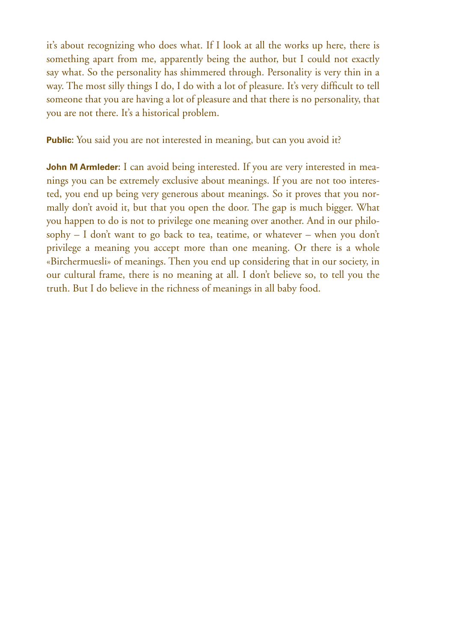it's about recognizing who does what. If I look at all the works up here, there is something apart from me, apparently being the author, but I could not exactly say what. So the personality has shimmered through. Personality is very thin in a way. The most silly things I do, I do with a lot of pleasure. It's very difficult to tell someone that you are having a lot of pleasure and that there is no personality, that you are not there. It's a historical problem.

**Public:** You said you are not interested in meaning, but can you avoid it?

**John M Armleder:** I can avoid being interested. If you are very interested in meanings you can be extremely exclusive about meanings. If you are not too interested, you end up being very generous about meanings. So it proves that you normally don't avoid it, but that you open the door. The gap is much bigger. What you happen to do is not to privilege one meaning over another. And in our philosophy – I don't want to go back to tea, teatime, or whatever – when you don't privilege a meaning you accept more than one meaning. Or there is a whole «Birchermuesli» of meanings. Then you end up considering that in our society, in our cultural frame, there is no meaning at all. I don't believe so, to tell you the truth. But I do believe in the richness of meanings in all baby food.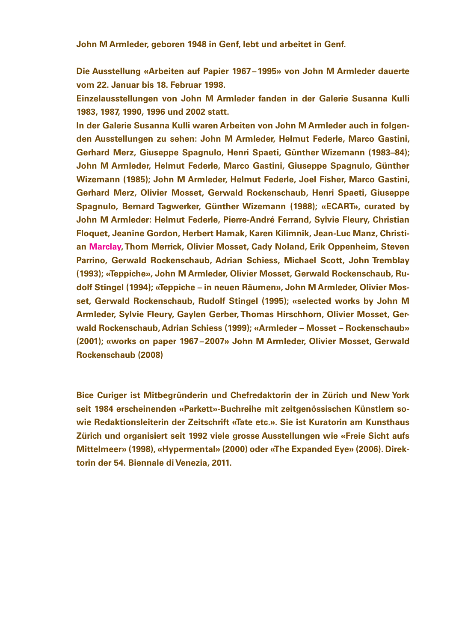**John M Armleder, geboren 1948 in Genf, lebt und arbeitet in Genf.**

**Die Ausstellung «Arbeiten auf Papier 1967–1995» von John M Armleder dauerte vom 22. Januar bis 18. Februar 1998.**

**Einzelausstellungen von John M Armleder fanden in der Galerie Susanna Kulli 1983, 1987, 1990, 1996 und 2002 statt.**

**In der Galerie Susanna Kulli waren Arbeiten von John M Armleder auch in folgenden Ausstellungen zu sehen: John M Armleder, Helmut Federle, Marco Gastini, Gerhard Merz, Giuseppe Spagnulo, Henri Spaeti, Günther Wizemann (1983–84); John M Armleder, Helmut Federle, Marco Gastini, Giuseppe Spagnulo, Günther Wizemann (1985); John M Armleder, Helmut Federle, Joel Fisher, Marco Gastini, Gerhard Merz, Olivier Mosset, Gerwald Rockenschaub, Henri Spaeti, Giuseppe Spagnulo, Bernard Tagwerker, Günther Wizemann (1988); «ECART», curated by John M Armleder: Helmut Federle, Pierre-André Ferrand, Sylvie Fleury, Christian Floquet, Jeanine Gordon, Herbert Hamak, Karen Kilimnik, Jean-Luc Manz, Christian Marclay, Thom Merrick, Olivier Mosset, Cady Noland, Erik Oppenheim, Steven Parrino, Gerwald Rockenschaub, Adrian Schiess, Michael Scott, John Tremblay (1993); «Teppiche», John M Armleder, Olivier Mosset, Gerwald Rockenschaub, Rudolf Stingel (1994); «Teppiche – in neuen Räumen», John M Armleder, Olivier Mosset, Gerwald Rockenschaub, Rudolf Stingel (1995); «selected works by John M Armleder, Sylvie Fleury, Gaylen Gerber, Thomas Hirschhorn, Olivier Mosset, Gerwald Rockenschaub, Adrian Schiess (1999); «Armleder – Mosset – Rockenschaub» (2001); «works on paper 1967–2007» John M Armleder, Olivier Mosset, Gerwald Rockenschaub (2008)**

**Bice Curiger ist Mitbegründerin und Chefredaktorin der in Zürich und New York seit 1984 erscheinenden «Parkett»-Buchreihe mit zeitgenössischen Künstlern sowie Redaktionsleiterin der Zeitschrift «Tate etc.». Sie ist Kuratorin am Kunsthaus Zürich und organisiert seit 1992 viele grosse Ausstellungen wie «Freie Sicht aufs Mittelmeer» (1998), «Hypermental» (2000) oder «The Expanded Eye» (2006). Direktorin der 54. Biennale di Venezia, 2011.**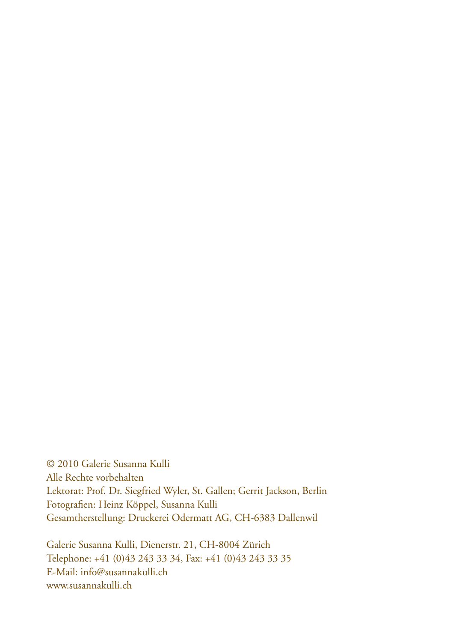© 2010 Galerie Susanna Kulli Alle Rechte vorbehalten Lektorat: Prof. Dr. Siegfried Wyler, St. Gallen; Gerrit Jackson, Berlin Fotografien: Heinz Köppel, Susanna Kulli Gesamtherstellung: Druckerei Odermatt AG, CH-6383 Dallenwil

Galerie Susanna Kulli, Dienerstr. 21, CH-8004 Zürich Telephone: +41 (0)43 243 33 34, Fax: +41 (0)43 243 33 35 E-Mail: info@susannakulli.ch www.susannakulli.ch